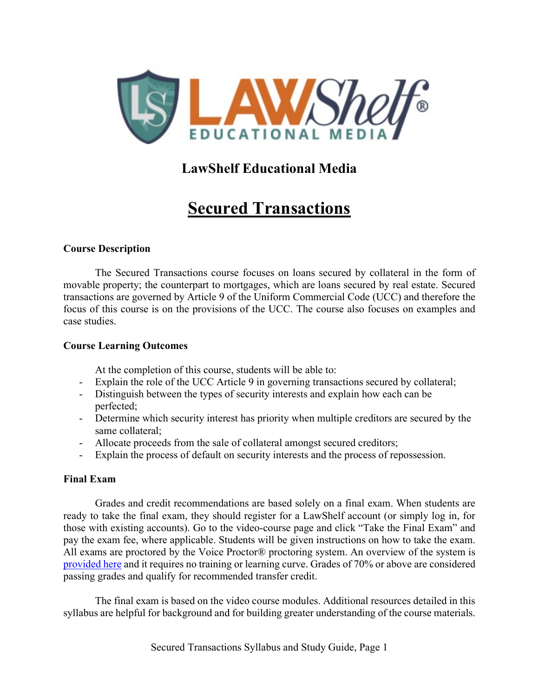

# **LawShelf Educational Media**

# **Secured Transactions**

### **Course Description**

The Secured Transactions course focuses on loans secured by collateral in the form of movable property; the counterpart to mortgages, which are loans secured by real estate. Secured transactions are governed by Article 9 of the Uniform Commercial Code (UCC) and therefore the focus of this course is on the provisions of the UCC. The course also focuses on examples and case studies.

### **Course Learning Outcomes**

At the completion of this course, students will be able to:

- Explain the role of the UCC Article 9 in governing transactions secured by collateral;
- Distinguish between the types of security interests and explain how each can be perfected;
- Determine which security interest has priority when multiple creditors are secured by the same collateral;
- Allocate proceeds from the sale of collateral amongst secured creditors;
- Explain the process of default on security interests and the process of repossession.

### **Final Exam**

Grades and credit recommendations are based solely on a final exam. When students are ready to take the final exam, they should register for a LawShelf account (or simply log in, for those with existing accounts). Go to the video-course page and click "Take the Final Exam" and pay the exam fee, where applicable. Students will be given instructions on how to take the exam. All exams are proctored by the Voice Proctor® proctoring system. An overview of the system is [provided here](https://lawshelf.com/voiceproctorvideo) and it requires no training or learning curve. Grades of 70% or above are considered passing grades and qualify for recommended transfer credit.

The final exam is based on the video course modules. Additional resources detailed in this syllabus are helpful for background and for building greater understanding of the course materials.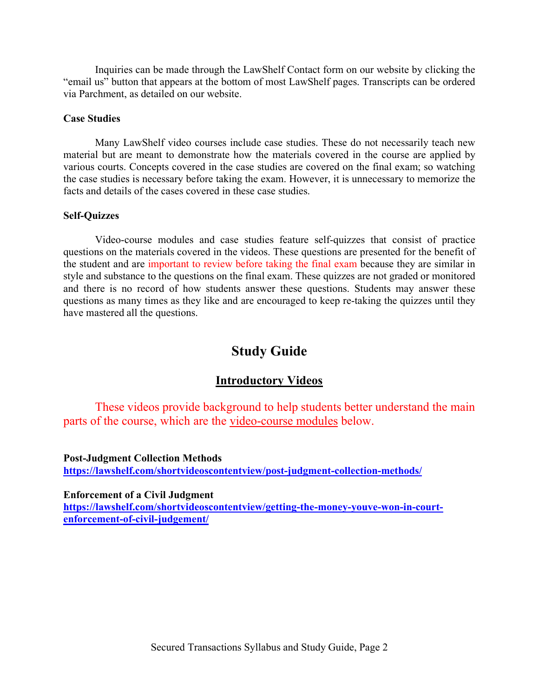Inquiries can be made through the LawShelf Contact form on our website by clicking the "email us" button that appears at the bottom of most LawShelf pages. Transcripts can be ordered via Parchment, as detailed on our website.

#### **Case Studies**

Many LawShelf video courses include case studies. These do not necessarily teach new material but are meant to demonstrate how the materials covered in the course are applied by various courts. Concepts covered in the case studies are covered on the final exam; so watching the case studies is necessary before taking the exam. However, it is unnecessary to memorize the facts and details of the cases covered in these case studies.

#### **Self-Quizzes**

Video-course modules and case studies feature self-quizzes that consist of practice questions on the materials covered in the videos. These questions are presented for the benefit of the student and are important to review before taking the final exam because they are similar in style and substance to the questions on the final exam. These quizzes are not graded or monitored and there is no record of how students answer these questions. Students may answer these questions as many times as they like and are encouraged to keep re-taking the quizzes until they have mastered all the questions.

# **Study Guide**

### **Introductory Videos**

These videos provide background to help students better understand the main parts of the course, which are the video-course modules below.

**Post-Judgment Collection Methods <https://lawshelf.com/shortvideoscontentview/post-judgment-collection-methods/>**

**Enforcement of a Civil Judgment**

**[https://lawshelf.com/shortvideoscontentview/getting-the-money-youve-won-in-court](https://lawshelf.com/shortvideoscontentview/getting-the-money-youve-won-in-court-enforcement-of-civil-judgement/)[enforcement-of-civil-judgement/](https://lawshelf.com/shortvideoscontentview/getting-the-money-youve-won-in-court-enforcement-of-civil-judgement/)**